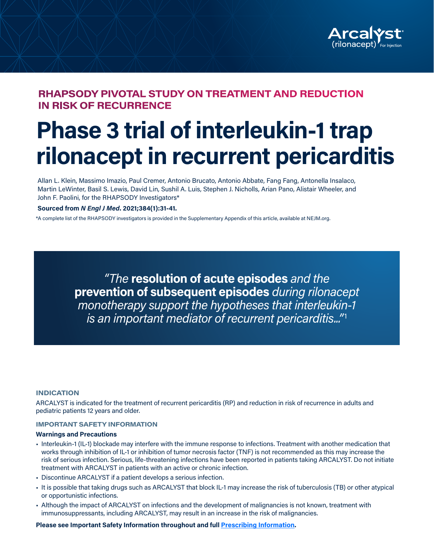

### **RHAPSODY PIVOTAL STUDY ON TREATMENT AND REDUCTION IN RISK OF RECURRENCE**

# **Phase 3 trial of interleukin-1 trap rilonacept in recurrent pericarditis**

Allan L. Klein, Massimo Imazio, Paul Cremer, Antonio Brucato, Antonio Abbate, Fang Fang, Antonella Insalaco, Martin LeWinter, Basil S. Lewis, David Lin, Sushil A. Luis, Stephen J. Nicholls, Arian Pano, Alistair Wheeler, and John F. Paolini, for the RHAPSODY Investigators\*

#### **Sourced from** *N Engl J Med***. 2021;384(1):31-41.**

\*A complete list of the RHAPSODY investigators is provided in the Supplementary Appendix of this article, available at NEJM.org.

*"The* **resolution of acute episodes** *and the*  **prevention of subsequent episodes** *during rilonacept monotherapy support the hypotheses that interleukin-1 is an important mediator of recurrent pericarditis..."*1

#### **INDICATION**

ARCALYST is indicated for the treatment of recurrent pericarditis (RP) and reduction in risk of recurrence in adults and pediatric patients 12 years and older.

#### **IMPORTANT SAFETY INFORMATION**

#### **Warnings and Precautions**

- Interleukin-1 (IL-1) blockade may interfere with the immune response to infections. Treatment with another medication that works through inhibition of IL-1 or inhibition of tumor necrosis factor (TNF) is not recommended as this may increase the risk of serious infection. Serious, life-threatening infections have been reported in patients taking ARCALYST. Do not initiate treatment with ARCALYST in patients with an active or chronic infection.
- Discontinue ARCALYST if a patient develops a serious infection.
- It is possible that taking drugs such as ARCALYST that block IL-1 may increase the risk of tuberculosis (TB) or other atypical or opportunistic infections.
- Although the impact of ARCALYST on infections and the development of malignancies is not known, treatment with immunosuppressants, including ARCALYST, may result in an increase in the risk of malignancies.

**Please see Important Safety Information throughout and full Prescribing Information.**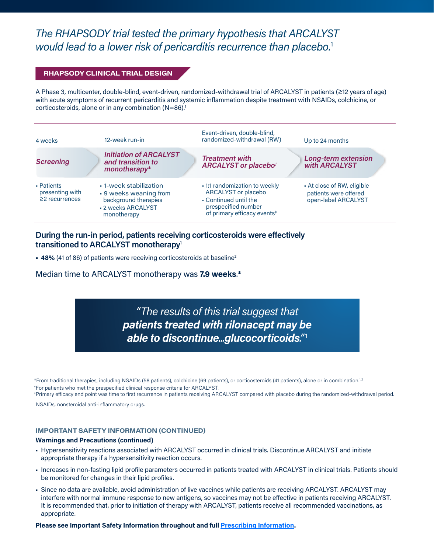### *The RHAPSODY trial tested the primary hypothesis that ARCALYST would lead to a lower risk of pericarditis recurrence than placebo.*<sup>1</sup>

### **RHAPSODY CLINICAL TRIAL DESIGN**

A Phase 3, multicenter, double-blind, event-driven, randomized-withdrawal trial of ARCALYST in patients (≥12 years of age) with acute symptoms of recurrent pericarditis and systemic inflammation despite treatment with NSAIDs, colchicine, or corticosteroids, alone or in any combination (N=86).<sup>1</sup>

| 4 weeks                                               | 12-week run-in                                                                                                | Event-driven, double-blind,<br>randomized-withdrawal (RW)                                                                                       |  | Up to 24 months                                                            |  |
|-------------------------------------------------------|---------------------------------------------------------------------------------------------------------------|-------------------------------------------------------------------------------------------------------------------------------------------------|--|----------------------------------------------------------------------------|--|
| <b>Screening</b>                                      | <b>Initiation of ARCALYST</b><br>and transition to<br>monotherapy*                                            | <b>Treatment with</b><br><b>ARCALYST or placebot</b>                                                                                            |  | Long-term extension<br>with ARCALYST                                       |  |
| • Patients<br>presenting with<br>$\geq$ 2 recurrences | • 1-week stabilization<br>• 9 weeks weaning from<br>background therapies<br>- 2 weeks ARCALYST<br>monotherapy | • 1:1 randomization to weekly<br>ARCALYST or placebo<br>• Continued until the<br>prespecified number<br>of primary efficacy events <sup>#</sup> |  | • At close of RW, eligible<br>patients were offered<br>open-label ARCALYST |  |

### **During the run-in period, patients receiving corticosteroids were effectively transitioned to ARCALYST monotherapy**<sup>1</sup>

**• 48%** (41 of 86) of patients were receiving corticosteroids at baseline2

Median time to ARCALYST monotherapy was **7.9 weeks**.\*

*"The results of this trial suggest that patients treated with rilonacept may be able to discontinue...glucocorticoids."*<sup>1</sup>

\*From traditional therapies, including NSAIDs (58 patients), colchicine (69 patients), or corticosteroids (41 patients), alone or in combination.<sup>1,2</sup> † For patients who met the prespecified clinical response criteria for ARCALYST.

‡ Primary efficacy end point was time to first recurrence in patients receiving ARCALYST compared with placebo during the randomized-withdrawal period.

NSAIDs, nonsteroidal anti-inflammatory drugs.

#### **IMPORTANT SAFETY INFORMATION (CONTINUED)**

#### **Warnings and Precautions (continued)**

- Hypersensitivity reactions associated with ARCALYST occurred in clinical trials. Discontinue ARCALYST and initiate appropriate therapy if a hypersensitivity reaction occurs.
- Increases in non-fasting lipid profile parameters occurred in patients treated with ARCALYST in clinical trials. Patients should be monitored for changes in their lipid profiles.
- Since no data are available, avoid administration of live vaccines while patients are receiving ARCALYST. ARCALYST may interfere with normal immune response to new antigens, so vaccines may not be effective in patients receiving ARCALYST. It is recommended that, prior to initiation of therapy with ARCALYST, patients receive all recommended vaccinations, as appropriate.

**Please see Important Safety Information throughout and full Prescribing Information.**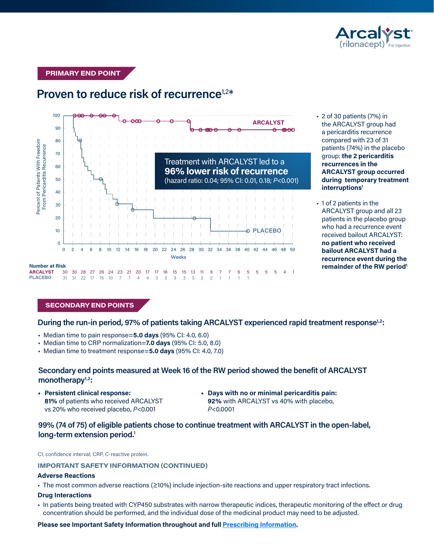

Mild 52 (60) 16 (53) 17 (55) 16 (53) 9 (29) 47 (55)

**PRIMARY END POINT**



### **Proven to reduce risk of recurrence<sup>1,2\*</sup>**

 $U$  patients (7%) in • 2 of 30 patients (7%) in the ARCALYST group had a pericarditis recurrence compared with 23 of 31 patients (74%) in the placebo group: **the 2 pericarditis recurrences in the ARCALYST group occurred during temporary treatment interruptions1**

• 1 of 2 patients in the ARCALYST group and all 23 patients in the placebo group who had a recurrence event received bailout ARCALYST: **no patient who received bailout ARCALYST had a recurrence event during the remainder of the RW period1**

### **SECONDARY END POINTS**

During the run-in period, 97% of patients taking ARCALYST experienced rapid treatment response<sup>1,2</sup>:

- Median time to pain response=**5.0 days** (95% CI: 4.0, 6.0)
- Median time to CRP normalization=**7.0 days** (95% CI: 5.0, 8.0)
- Median time to treatment response=**5.0 days** (95% CI: 4.0, 7.0)

### **Secondary end points measured at Week 16 of the RW period showed the benefit of ARCALYST**  monotherapy<sup>1,2</sup>:

- **• Persistent clinical response: 81%** of patients who received ARCALYST vs 20% who received placebo, *P*<0.001
- **• Days with no or minimal pericarditis pain: 92%** with ARCALYST vs 40% with placebo, *P*<0.0001

### **99% (74 of 75) of eligible patients chose to continue treatment with ARCALYST in the open-label, long-term extension period.1**

CI, confidence interval; CRP, C-reactive protein.

**IMPORTANT SAFETY INFORMATION (CONTINUED)** 

#### **Adverse Reactions**

• The most common adverse reactions (≥10%) include injection-site reactions and upper respiratory tract infections.

#### **Drug Interactions**

• In patients being treated with CYP450 substrates with narrow therapeutic indices, therapeutic monitoring of the effect or drug concentration should be performed, and the individual dose of the medicinal product may need to be adjusted.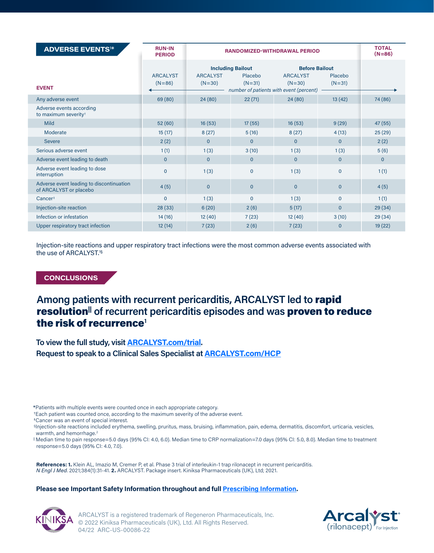| <b>ADVERSE EVENTS<sup>1*</sup></b>                                 | <b>RUN-IN</b><br><b>PERIOD</b> | <b>RANDOMIZED-WITHDRAWAL PERIOD</b> | <b>TOTAL</b><br>$(N=86)$                        |                                                                                                 |                     |              |
|--------------------------------------------------------------------|--------------------------------|-------------------------------------|-------------------------------------------------|-------------------------------------------------------------------------------------------------|---------------------|--------------|
| <b>EVENT</b>                                                       | <b>ARCALYST</b><br>$(N=86)$    | <b>ARCALYST</b><br>$(N=30)$         | <b>Including Bailout</b><br>Placebo<br>$(N=31)$ | <b>Before Bailout</b><br><b>ARCALYST</b><br>$(N=30)$<br>number of patients with event (percent) | Placebo<br>$(N=31)$ |              |
| Any adverse event                                                  | 69 (80)                        | 24(80)                              | 22(71)                                          | 24(80)                                                                                          | 13(42)              | 74 (86)      |
| Adverse events according<br>to maximum severity <sup>+</sup>       |                                |                                     |                                                 |                                                                                                 |                     |              |
| <b>Mild</b>                                                        | 52 (60)                        | 16(53)                              | 17(55)                                          | 16(53)                                                                                          | 9(29)               | 47(55)       |
| Moderate                                                           | 15(17)                         | 8(27)                               | 5(16)                                           | 8(27)                                                                                           | 4(13)               | 25(29)       |
| <b>Severe</b>                                                      | 2(2)                           | $\Omega$                            | $\Omega$                                        | $\Omega$                                                                                        | $\Omega$            | 2(2)         |
| Serious adverse event                                              | 1(1)                           | 1(3)                                | 3(10)                                           | 1(3)                                                                                            | 1(3)                | 5(6)         |
| Adverse event leading to death                                     | $\mathbf{0}$                   | $\mathbf{0}$                        | $\mathbf{0}$                                    | $\mathbf{0}$                                                                                    | $\Omega$            | $\mathbf{0}$ |
| Adverse event leading to dose<br>interruption                      | $\Omega$                       | 1(3)                                | $\Omega$                                        | 1(3)                                                                                            | $\Omega$            | 1(1)         |
| Adverse event leading to discontinuation<br>of ARCALYST or placebo | 4(5)                           | $\mathbf{0}$                        | $\mathbf{0}$                                    | $\Omega$                                                                                        | $\Omega$            | 4(5)         |
| Cancer <sup>†</sup>                                                | $\overline{0}$                 | 1(3)                                | $\Omega$                                        | 1(3)                                                                                            | $\Omega$            | 1(1)         |
| Injection-site reaction                                            | 28(33)                         | 6(20)                               | 2(6)                                            | 5(17)                                                                                           | $\Omega$            | 29(34)       |
| Infection or infestation                                           | 14(16)                         | 12(40)                              | 7(23)                                           | 12(40)                                                                                          | 3(10)               | 29(34)       |
| Upper respiratory tract infection                                  | 12(14)                         | 7(23)                               | 2(6)                                            | 7(23)                                                                                           | $\Omega$            | 19(22)       |

Injection-site reactions and upper respiratory tract infections were the most common adverse events associated with the use of ARCALYST.1§

**CONCLUSIONS**

### **Among patients with recurrent pericarditis, ARCALYST led to** rapid resolution|| **of recurrent pericarditis episodes and was** proven to reduce the risk of recurrence**<sup>1</sup>**

**To view the full study, visit ARCALYST.com/trial. Request to speak to a Clinical Sales Specialist at ARCALYST.com/HCP**

\*Patients with multiple events were counted once in each appropriate category.

† Each patient was counted once, according to the maximum severity of the adverse event.

‡ Cancer was an event of special interest.

§ Injection-site reactions included erythema, swelling, pruritus, mass, bruising, inflammation, pain, edema, dermatitis, discomfort, urticaria, vesicles, warmth, and hemorrhage.<sup>2</sup>

|| Median time to pain response=5.0 days (95% CI: 4.0, 6.0). Median time to CRP normalization=7.0 days (95% CI: 5.0, 8.0). Median time to treatment response=5.0 days (95% CI: 4.0, 7.0).

**References: 1.** Klein AL, Imazio M, Cremer P, et al. Phase 3 trial of interleukin-1 trap rilonacept in recurrent pericarditis. *N Engl J Med*. 2021;384(1):31-41. **2.** ARCALYST. Package insert. Kiniksa Pharmaceuticals (UK), Ltd; 2021.

### **Please see Important Safety Information throughout and full Prescribing Information.**



ARCALYST is a registered trademark of Regeneron Pharmaceuticals, Inc. © 2022 Kiniksa Pharmaceuticals (UK), Ltd. All Rights Reserved. 04/22 ARC-US-00086-22

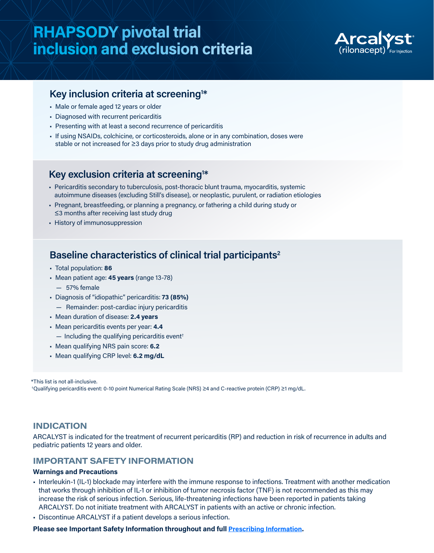## **RHAPSODY pivotal trial inclusion and exclusion criteria**



### **Key inclusion criteria at screening1 \***

- Male or female aged 12 years or older
- Diagnosed with recurrent pericarditis
- Presenting with at least a second recurrence of pericarditis
- If using NSAIDs, colchicine, or corticosteroids, alone or in any combination, doses were stable or not increased for ≥3 days prior to study drug administration

### **Key exclusion criteria at screening1 \***

- Pericarditis secondary to tuberculosis, post-thoracic blunt trauma, myocarditis, systemic autoimmune diseases (excluding Still's disease), or neoplastic, purulent, or radiation etiologies
- Pregnant, breastfeeding, or planning a pregnancy, or fathering a child during study or ≤3 months after receiving last study drug
- History of immunosuppression

### **Baseline characteristics of clinical trial participants2**

- Total population: **86**
- Mean patient age: **45 years** (range 13-78)
	- 57% female
- Diagnosis of "idiopathic" pericarditis: **73 (85%)** 
	- Remainder: post-cardiac injury pericarditis
- Mean duration of disease: **2.4 years**
- Mean pericarditis events per year: **4.4** 
	- $-$  Including the qualifying pericarditis event<sup>†</sup>
- Mean qualifying NRS pain score: **6.2**
- Mean qualifying CRP level: **6.2 mg/dL**

\*This list is not all-inclusive.

† Qualifying pericarditis event: 0-10 point Numerical Rating Scale (NRS) ≥4 and C-reactive protein (CRP) ≥1 mg/dL.

### **INDICATION**

ARCALYST is indicated for the treatment of recurrent pericarditis (RP) and reduction in risk of recurrence in adults and pediatric patients 12 years and older.

### **IMPORTANT SAFETY INFORMATION**

### **Warnings and Precautions**

- Interleukin-1 (IL-1) blockade may interfere with the immune response to infections. Treatment with another medication that works through inhibition of IL-1 or inhibition of tumor necrosis factor (TNF) is not recommended as this may increase the risk of serious infection. Serious, life-threatening infections have been reported in patients taking ARCALYST. Do not initiate treatment with ARCALYST in patients with an active or chronic infection.
- Discontinue ARCALYST if a patient develops a serious infection.

### **Please see Important Safety Information throughout and full Prescribing Information.**